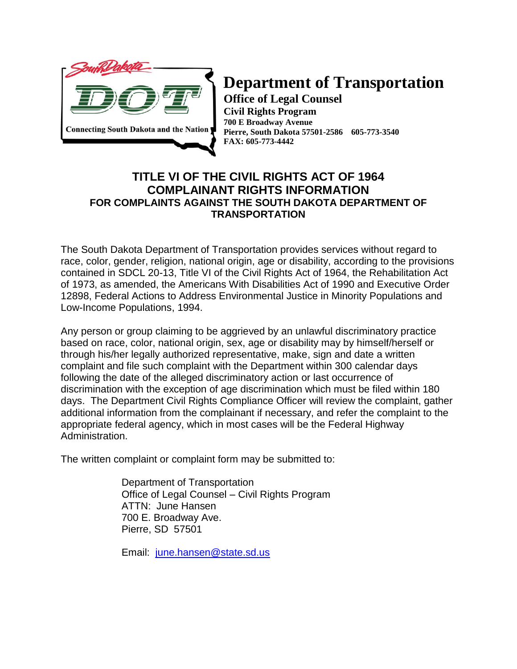

## **Department of Transportation**

**Office of Legal Counsel Civil Rights Program 700 E Broadway Avenue Pierre, South Dakota 57501-2586 605-773-3540 FAX: 605-773-4442**

## **TITLE VI OF THE CIVIL RIGHTS ACT OF 1964 COMPLAINANT RIGHTS INFORMATION FOR COMPLAINTS AGAINST THE SOUTH DAKOTA DEPARTMENT OF TRANSPORTATION**

The South Dakota Department of Transportation provides services without regard to race, color, gender, religion, national origin, age or disability, according to the provisions contained in SDCL 20-13, Title VI of the Civil Rights Act of 1964, the Rehabilitation Act of 1973, as amended, the Americans With Disabilities Act of 1990 and Executive Order 12898, Federal Actions to Address Environmental Justice in Minority Populations and Low-Income Populations, 1994.

Any person or group claiming to be aggrieved by an unlawful discriminatory practice based on race, color, national origin, sex, age or disability may by himself/herself or through his/her legally authorized representative, make, sign and date a written complaint and file such complaint with the Department within 300 calendar days following the date of the alleged discriminatory action or last occurrence of discrimination with the exception of age discrimination which must be filed within 180 days. The Department Civil Rights Compliance Officer will review the complaint, gather additional information from the complainant if necessary, and refer the complaint to the appropriate federal agency, which in most cases will be the Federal Highway Administration.

The written complaint or complaint form may be submitted to:

Department of Transportation Office of Legal Counsel – Civil Rights Program ATTN: June Hansen 700 E. Broadway Ave. Pierre, SD 57501

Email: [june.hansen@state.sd.us](mailto:june.hansen@state.sd.us)